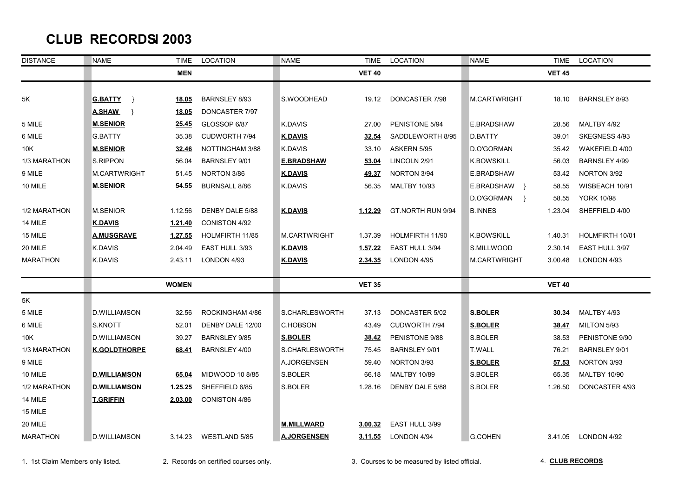## **CLUB RECORDS JANUARY JAN 2003**

| <b>DISTANCE</b> | <b>NAME</b>          | <b>TIME</b>  | LOCATION             | <b>NAME</b>         | <b>TIME</b>    | LOCATION             | <b>NAME</b>                                                                                                                       | <b>TIME</b>   | LOCATION             |
|-----------------|----------------------|--------------|----------------------|---------------------|----------------|----------------------|-----------------------------------------------------------------------------------------------------------------------------------|---------------|----------------------|
|                 |                      | <b>MEN</b>   |                      |                     | <b>VET 40</b>  |                      |                                                                                                                                   | <b>VET 45</b> |                      |
|                 |                      |              |                      |                     |                |                      |                                                                                                                                   |               |                      |
| 5K              | <b>G.BATTY</b><br>ৗ  | <u>18.05</u> | <b>BARNSLEY 8/93</b> | S.WOODHEAD          | 19.12          | DONCASTER 7/98       | <b>M.CARTWRIGHT</b>                                                                                                               | 18.10         | BARNSLEY 8/93        |
|                 | <b>A.SHAW</b><br>- 1 | 18.05        | DONCASTER 7/97       |                     |                |                      |                                                                                                                                   |               |                      |
| 5 MILE          | <b>M.SENIOR</b>      | 25.45        | GLOSSOP 6/87         | K.DAVIS             | 27.00          | PENISTONE 5/94       | E.BRADSHAW                                                                                                                        | 28.56         | MALTBY 4/92          |
| 6 MILE          | <b>G.BATTY</b>       | 35.38        | CUDWORTH 7/94        | <b>K.DAVIS</b>      | 32.54          | SADDLEWORTH 8/95     | D.BATTY                                                                                                                           | 39.01         | SKEGNESS 4/93        |
| 10K             | <b>M.SENIOR</b>      | 32.46        | NOTTINGHAM 3/88      | <b>K.DAVIS</b>      | 33.10          | ASKERN 5/95          | D.O'GORMAN                                                                                                                        | 35.42         | WAKEFIELD 4/00       |
| 1/3 MARATHON    | S.RIPPON             | 56.04        | BARNSLEY 9/01        | <b>E.BRADSHAW</b>   | 53.04          | LINCOLN 2/91         | <b>K.BOWSKILL</b>                                                                                                                 | 56.03         | BARNSLEY 4/99        |
| 9 MILE          | M.CARTWRIGHT         | 51.45        | NORTON 3/86          | <b>K.DAVIS</b>      | 49.37          | NORTON 3/94          | E.BRADSHAW                                                                                                                        | 53.42         | NORTON 3/92          |
| 10 MILE         | <b>M.SENIOR</b>      | 54.55        | <b>BURNSALL 8/86</b> | K.DAVIS             | 56.35          | <b>MALTBY 10/93</b>  | E.BRADSHAW }                                                                                                                      | 58.55         | WISBEACH 10/91       |
|                 |                      |              |                      |                     |                |                      | D.O'GORMAN<br>$\rightarrow$                                                                                                       | 58.55         | <b>YORK 10/98</b>    |
| 1/2 MARATHON    | <b>M.SENIOR</b>      | 1.12.56      | DENBY DALE 5/88      | <b>K.DAVIS</b>      | 1.12.29        | GT.NORTH RUN 9/94    | <b>B.INNES</b><br><b>K.BOWSKILL</b><br>S.MILLWOOD<br>M.CARTWRIGHT<br><b>S.BOLER</b><br><b>S.BOLER</b><br>S.BOLER<br><b>T.WALL</b> |               | SHEFFIELD 4/00       |
| 14 MILE         | <b>K.DAVIS</b>       | 1.21.40      | CONISTON 4/92        |                     |                |                      |                                                                                                                                   |               |                      |
| 15 MILE         | <b>A.MUSGRAVE</b>    | 1.27.55      | HOLMFIRTH 11/85      | <b>M.CARTWRIGHT</b> | 1.37.39        | HOLMFIRTH 11/90      |                                                                                                                                   | 1.40.31       | HOLMFIRTH 10/01      |
| 20 MILE         | <b>K.DAVIS</b>       | 2.04.49      | EAST HULL 3/93       | <b>K.DAVIS</b>      | <u>1.57.22</u> | EAST HULL 3/94       |                                                                                                                                   | 2.30.14       | EAST HULL 3/97       |
| <b>MARATHON</b> | K.DAVIS              | 2.43.11      | LONDON 4/93          | <b>K.DAVIS</b>      | 2.34.35        | LONDON 4/95          |                                                                                                                                   | 3.00.48       | LONDON 4/93          |
|                 |                      | <b>WOMEN</b> |                      |                     | <b>VET 35</b>  |                      |                                                                                                                                   | <b>VET 40</b> |                      |
| 5K              |                      |              |                      |                     |                |                      |                                                                                                                                   |               |                      |
| 5 MILE          | <b>D.WILLIAMSON</b>  | 32.56        | ROCKINGHAM 4/86      | S.CHARLESWORTH      | 37.13          | DONCASTER 5/02       |                                                                                                                                   | 30.34         | MALTBY 4/93          |
| 6 MILE          | S.KNOTT              | 52.01        | DENBY DALE 12/00     | C.HOBSON            | 43.49          | <b>CUDWORTH 7/94</b> |                                                                                                                                   | 38.47         | MILTON 5/93          |
| 10K             | <b>D.WILLIAMSON</b>  | 39.27        | <b>BARNSLEY 9/85</b> | <b>S.BOLER</b>      | 38.42          | PENISTONE 9/88       |                                                                                                                                   | 38.53         | PENISTONE 9/90       |
| 1/3 MARATHON    | <b>K.GOLDTHORPE</b>  | 68.41        | <b>BARNSLEY 4/00</b> | S.CHARLESWORTH      | 75.45          | <b>BARNSLEY 9/01</b> |                                                                                                                                   |               | <b>BARNSLEY 9/01</b> |
| 9 MILE          |                      |              |                      | A.JORGENSEN         | 59.40          | NORTON 3/93          | <b>S.BOLER</b>                                                                                                                    | 57.53         | NORTON 3/93          |
| 10 MILE         | <u>D.WILLIAMSON</u>  | 65.04        | MIDWOOD 10 8/85      | S.BOLER             | 66.18          | <b>MALTBY 10/89</b>  | S.BOLER                                                                                                                           | 65.35         | <b>MALTBY 10/90</b>  |
| 1/2 MARATHON    | <b>D.WILLIAMSON</b>  | 1.25.25      | SHEFFIELD 6/85       | S.BOLER             | 1.28.16        | DENBY DALE 5/88      | S.BOLER                                                                                                                           | 1.26.50       | DONCASTER 4/93       |
| 14 MILE         | <b>T.GRIFFIN</b>     | 2.03.00      | CONISTON 4/86        |                     |                |                      |                                                                                                                                   |               |                      |
| 15 MILE         |                      |              |                      |                     |                |                      |                                                                                                                                   |               |                      |
| 20 MILE         |                      |              |                      | <b>M.MILLWARD</b>   | 3.00.32        | EAST HULL 3/99       |                                                                                                                                   |               |                      |
| <b>MARATHON</b> | <b>D.WILLIAMSON</b>  | 3.14.23      | WESTLAND 5/85        | <b>A.JORGENSEN</b>  | <u>3.11.55</u> | LONDON 4/94          | G.COHEN                                                                                                                           | 3.41.05       | LONDON 4/92          |

1. 1st Claim Members only listed. 2. Records on certified courses only. 3. Courses to be measured by listed official.

4. **CLUB RECORDS**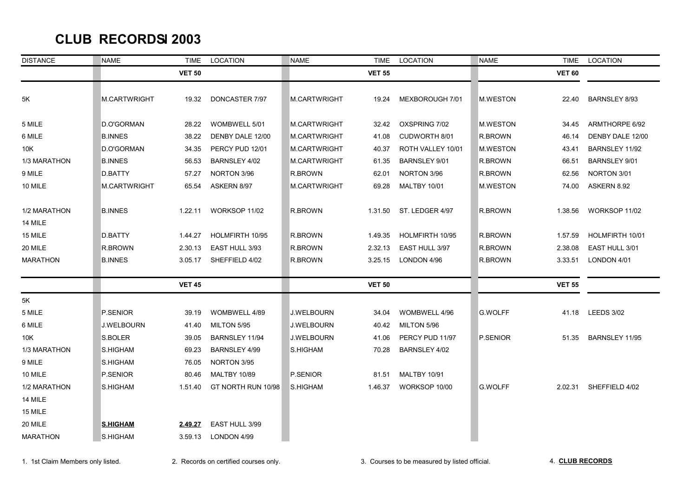## **CLUB RECORDS 2003**

| <b>DISTANCE</b> | <b>NAME</b>     | <b>TIME</b>   | <b>LOCATION</b>     | <b>NAME</b>         | <b>TIME</b>   | LOCATION             | <b>NAME</b>     | TIME          | LOCATION             |
|-----------------|-----------------|---------------|---------------------|---------------------|---------------|----------------------|-----------------|---------------|----------------------|
|                 |                 | <b>VET 50</b> |                     |                     | <b>VET 55</b> |                      |                 | <b>VET 60</b> |                      |
|                 |                 |               |                     |                     |               |                      |                 |               |                      |
| 5Κ              | M.CARTWRIGHT    | 19.32         | DONCASTER 7/97      | <b>M.CARTWRIGHT</b> | 19.24         | MEXBOROUGH 7/01      | <b>M.WESTON</b> | 22.40         | <b>BARNSLEY 8/93</b> |
|                 |                 |               |                     |                     |               |                      |                 |               |                      |
| 5 MILE          | D.O'GORMAN      | 28.22         | WOMBWELL 5/01       | M.CARTWRIGHT        | 32.42         | OXSPRING 7/02        | <b>M.WESTON</b> | 34.45         | ARMTHORPE 6/92       |
| 6 MILE          | <b>B.INNES</b>  | 38.22         | DENBY DALE 12/00    | M.CARTWRIGHT        | 41.08         | CUDWORTH 8/01        | R.BROWN         | 46.14         | DENBY DALE 12/00     |
| 10K             | D.O'GORMAN      | 34.35         | PERCY PUD 12/01     | <b>M.CARTWRIGHT</b> | 40.37         | ROTH VALLEY 10/01    | <b>M.WESTON</b> | 43.41         | BARNSLEY 11/92       |
| 1/3 MARATHON    | <b>B.INNES</b>  | 56.53         | BARNSLEY 4/02       | M.CARTWRIGHT        | 61.35         | <b>BARNSLEY 9/01</b> | R.BROWN         | 66.51         | <b>BARNSLEY 9/01</b> |
| 9 MILE          | D.BATTY         | 57.27         | NORTON 3/96         | R.BROWN             | 62.01         | NORTON 3/96          | R.BROWN         | 62.56         | NORTON 3/01          |
| 10 MILE         | M.CARTWRIGHT    | 65.54         | ASKERN 8/97         | <b>M.CARTWRIGHT</b> | 69.28         | <b>MALTBY 10/01</b>  | <b>M.WESTON</b> | 74.00         | ASKERN 8.92          |
|                 |                 |               |                     |                     |               |                      |                 |               |                      |
| 1/2 MARATHON    | <b>B.INNES</b>  | 1.22.11       | WORKSOP 11/02       | R.BROWN             | 1.31.50       | ST. LEDGER 4/97      | R.BROWN         | 1.38.56       | WORKSOP 11/02        |
| 14 MILE         |                 |               |                     |                     |               |                      |                 |               |                      |
| 15 MILE         | D.BATTY         | 1.44.27       | HOLMFIRTH 10/95     | R.BROWN             | 1.49.35       | HOLMFIRTH 10/95      | R.BROWN         | 1.57.59       | HOLMFIRTH 10/01      |
| 20 MILE         | R.BROWN         | 2.30.13       | EAST HULL 3/93      | R.BROWN             | 2.32.13       | EAST HULL 3/97       | R.BROWN         | 2.38.08       | EAST HULL 3/01       |
| <b>MARATHON</b> | <b>B.INNES</b>  | 3.05.17       | SHEFFIELD 4/02      | R.BROWN             | 3.25.15       | LONDON 4/96          | R.BROWN         | 3.33.51       | LONDON 4/01          |
|                 |                 |               |                     |                     |               |                      |                 |               |                      |
|                 |                 | <b>VET 45</b> |                     |                     | <b>VET 50</b> |                      |                 | <b>VET 55</b> |                      |
| 5K              |                 |               |                     |                     |               |                      |                 |               |                      |
| 5 MILE          | P.SENIOR        | 39.19         | WOMBWELL 4/89       | J.WELBOURN          | 34.04         | WOMBWELL 4/96        | <b>G.WOLFF</b>  | 41.18         | <b>LEEDS 3/02</b>    |
| 6 MILE          | J.WELBOURN      | 41.40         | MILTON 5/95         | J.WELBOURN          | 40.42         | MILTON 5/96          |                 |               |                      |
| 10K             | S.BOLER         | 39.05         | BARNSLEY 11/94      | J.WELBOURN          | 41.06         | PERCY PUD 11/97      | P.SENIOR        | 51.35         | BARNSLEY 11/95       |
| 1/3 MARATHON    | S.HIGHAM        | 69.23         | BARNSLEY 4/99       | S.HIGHAM            | 70.28         | BARNSLEY 4/02        |                 |               |                      |
| 9 MILE          | S.HIGHAM        | 76.05         | NORTON 3/95         |                     |               |                      |                 |               |                      |
| 10 MILE         | P.SENIOR        | 80.46         | <b>MALTBY 10/89</b> | P.SENIOR            | 81.51         | <b>MALTBY 10/91</b>  |                 |               |                      |
| 1/2 MARATHON    | S.HIGHAM        | 1.51.40       | GT NORTH RUN 10/98  | S.HIGHAM            | 1.46.37       | WORKSOP 10/00        | <b>G.WOLFF</b>  | 2.02.31       | SHEFFIELD 4/02       |
| 14 MILE         |                 |               |                     |                     |               |                      |                 |               |                      |
| 15 MILE         |                 |               |                     |                     |               |                      |                 |               |                      |
| 20 MILE         | <b>S.HIGHAM</b> | 2.49.27       | EAST HULL 3/99      |                     |               |                      |                 |               |                      |
| <b>MARATHON</b> | S.HIGHAM        | 3.59.13       | LONDON 4/99         |                     |               |                      |                 |               |                      |
|                 |                 |               |                     |                     |               |                      |                 |               |                      |